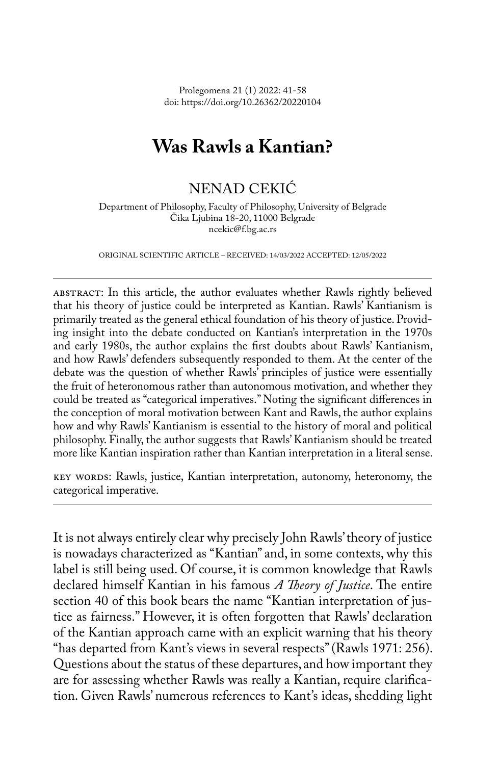Prolegomena 21 (1) 2022: 41-58 doi: https://doi.org/10.26362/20220104

# **Was Rawls a Kantian?**

# NENAD CEKIĆ

Department of Philosophy, Faculty of Philosophy, University of Belgrade Čika Ljubina 18-20, 11000 Belgrade ncekic@f.bg.ac.rs

ORIGINAL SCIENTIFIC ARTICLE – RECEIVED: 14/03/2022 ACCEPTED: 12/05/2022

ABSTRACT: In this article, the author evaluates whether Rawls rightly believed that his theory of justice could be interpreted as Kantian. Rawls' Kantianism is primarily treated as the general ethical foundation of his theory of justice. Providing insight into the debate conducted on Kantian's interpretation in the 1970s and early 1980s, the author explains the first doubts about Rawls' Kantianism, and how Rawls' defenders subsequently responded to them. At the center of the debate was the question of whether Rawls' principles of justice were essentially the fruit of heteronomous rather than autonomous motivation, and whether they could be treated as "categorical imperatives." Noting the significant differences in the conception of moral motivation between Kant and Rawls, the author explains how and why Rawls' Kantianism is essential to the history of moral and political philosophy. Finally, the author suggests that Rawls' Kantianism should be treated more like Kantian inspiration rather than Kantian interpretation in a literal sense.

key words: Rawls, justice, Kantian interpretation, autonomy, heteronomy, the categorical imperative.

It is not always entirely clear why precisely John Rawls' theory of justice is nowadays characterized as "Kantian" and, in some contexts, why this label is still being used. Of course, it is common knowledge that Rawls declared himself Kantian in his famous *A Theory of Justice*. The entire section 40 of this book bears the name "Kantian interpretation of justice as fairness." However, it is often forgotten that Rawls' declaration of the Kantian approach came with an explicit warning that his theory "has departed from Kant's views in several respects" (Rawls 1971: 256). Questions about the status of these departures, and how important they are for assessing whether Rawls was really a Kantian, require clarification. Given Rawls' numerous references to Kant's ideas, shedding light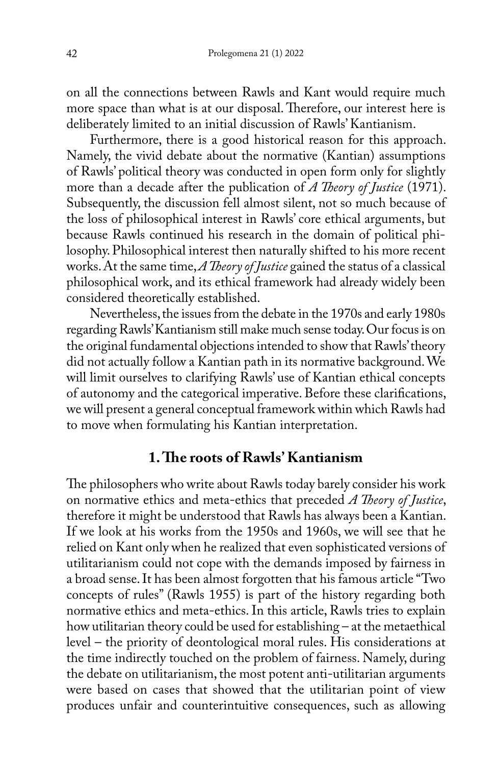on all the connections between Rawls and Kant would require much more space than what is at our disposal. Therefore, our interest here is deliberately limited to an initial discussion of Rawls' Kantianism.

Furthermore, there is a good historical reason for this approach. Namely, the vivid debate about the normative (Kantian) assumptions of Rawls' political theory was conducted in open form only for slightly more than a decade after the publication of *A Theory of Justice* (1971). Subsequently, the discussion fell almost silent, not so much because of the loss of philosophical interest in Rawls' core ethical arguments, but because Rawls continued his research in the domain of political philosophy. Philosophical interest then naturally shifted to his more recent works. At the same time, *A Theory of Justice* gained the status of a classical philosophical work, and its ethical framework had already widely been considered theoretically established.

Nevertheless, the issues from the debate in the 1970s and early 1980s regarding Rawls' Kantianism still make much sense today. Our focus is on the original fundamental objections intended to show that Rawls' theory did not actually follow a Kantian path in its normative background. We will limit ourselves to clarifying Rawls' use of Kantian ethical concepts of autonomy and the categorical imperative. Before these clarifications, we will present a general conceptual framework within which Rawls had to move when formulating his Kantian interpretation.

# **1. The roots of Rawls' Kantianism**

The philosophers who write about Rawls today barely consider his work on normative ethics and meta-ethics that preceded *A Theory of Justice*, therefore it might be understood that Rawls has always been a Kantian. If we look at his works from the 1950s and 1960s, we will see that he relied on Kant only when he realized that even sophisticated versions of utilitarianism could not cope with the demands imposed by fairness in a broad sense. It has been almost forgotten that his famous article "Two concepts of rules" (Rawls 1955) is part of the history regarding both normative ethics and meta-ethics. In this article, Rawls tries to explain how utilitarian theory could be used for establishing – at the metaethical level – the priority of deontological moral rules. His considerations at the time indirectly touched on the problem of fairness. Namely, during the debate on utilitarianism, the most potent anti-utilitarian arguments were based on cases that showed that the utilitarian point of view produces unfair and counterintuitive consequences, such as allowing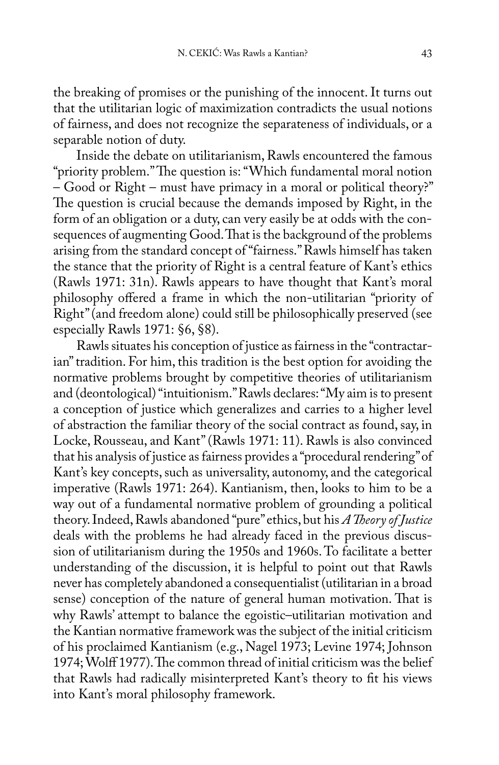the breaking of promises or the punishing of the innocent. It turns out that the utilitarian logic of maximization contradicts the usual notions of fairness, and does not recognize the separateness of individuals, or a separable notion of duty.

Inside the debate on utilitarianism, Rawls encountered the famous "priority problem." The question is: "Which fundamental moral notion – Good or Right – must have primacy in a moral or political theory?" The question is crucial because the demands imposed by Right, in the form of an obligation or a duty, can very easily be at odds with the consequences of augmenting Good. That is the background of the problems arising from the standard concept of "fairness." Rawls himself has taken the stance that the priority of Right is a central feature of Kant's ethics (Rawls 1971: 31n). Rawls appears to have thought that Kant's moral philosophy offered a frame in which the non-utilitarian "priority of Right" (and freedom alone) could still be philosophically preserved (see especially Rawls 1971: §6, §8).

Rawls situates his conception of justice as fairness in the "contractarian" tradition. For him, this tradition is the best option for avoiding the normative problems brought by competitive theories of utilitarianism and (deontological) "intuitionism." Rawls declares: "My aim is to present a conception of justice which generalizes and carries to a higher level of abstraction the familiar theory of the social contract as found, say, in Locke, Rousseau, and Kant" (Rawls 1971: 11). Rawls is also convinced that his analysis of justice as fairness provides a "procedural rendering" of Kant's key concepts, such as universality, autonomy, and the categorical imperative (Rawls 1971: 264). Kantianism, then, looks to him to be a way out of a fundamental normative problem of grounding a political theory. Indeed, Rawls abandoned "pure" ethics, but his *A Theory of Justice* deals with the problems he had already faced in the previous discussion of utilitarianism during the 1950s and 1960s. To facilitate a better understanding of the discussion, it is helpful to point out that Rawls never has completely abandoned a consequentialist (utilitarian in a broad sense) conception of the nature of general human motivation. That is why Rawls' attempt to balance the egoistic–utilitarian motivation and the Kantian normative framework was the subject of the initial criticism of his proclaimed Kantianism (e.g., Nagel 1973; Levine 1974; Johnson 1974; Wolff 1977). The common thread of initial criticism was the belief that Rawls had radically misinterpreted Kant's theory to fit his views into Kant's moral philosophy framework.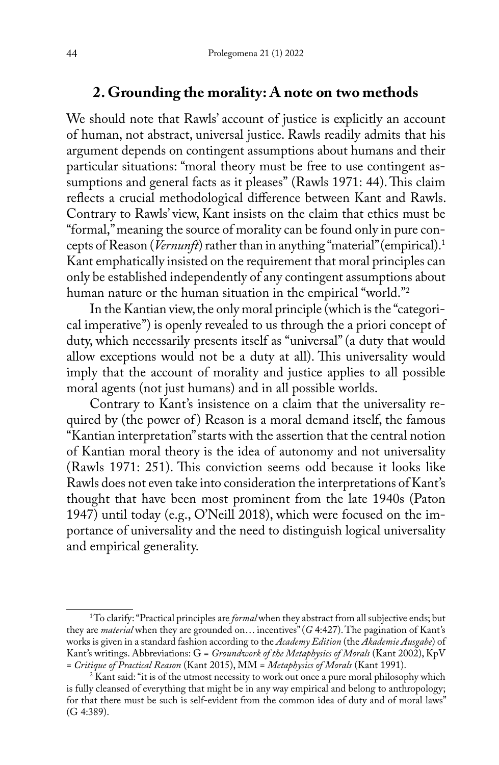# **2. Grounding the morality: A note on two methods**

We should note that Rawls' account of justice is explicitly an account of human, not abstract, universal justice. Rawls readily admits that his argument depends on contingent assumptions about humans and their particular situations: "moral theory must be free to use contingent assumptions and general facts as it pleases" (Rawls 1971: 44). This claim reflects a crucial methodological difference between Kant and Rawls. Contrary to Rawls' view, Kant insists on the claim that ethics must be "formal," meaning the source of morality can be found only in pure concepts of Reason (*Vernunft*) rather than in anything "material" (empirical).1 Kant emphatically insisted on the requirement that moral principles can only be established independently of any contingent assumptions about human nature or the human situation in the empirical "world."<sup>2</sup>

In the Kantian view, the only moral principle (which is the "categorical imperative") is openly revealed to us through the a priori concept of duty, which necessarily presents itself as "universal" (a duty that would allow exceptions would not be a duty at all). This universality would imply that the account of morality and justice applies to all possible moral agents (not just humans) and in all possible worlds.

Contrary to Kant's insistence on a claim that the universality required by (the power of) Reason is a moral demand itself, the famous "Kantian interpretation" starts with the assertion that the central notion of Kantian moral theory is the idea of autonomy and not universality (Rawls 1971: 251). This conviction seems odd because it looks like Rawls does not even take into consideration the interpretations of Kant's thought that have been most prominent from the late 1940s (Paton 1947) until today (e.g., O'Neill 2018), which were focused on the importance of universality and the need to distinguish logical universality and empirical generality.

<sup>&</sup>lt;sup>1</sup>To clarify: "Practical principles are *formal* when they abstract from all subjective ends; but they are *material* when they are grounded on… incentives" (*G* 4:427). The pagination of Kant's works is given in a standard fashion according to the *Academy Edition* (the *Akademie Ausgabe*) of Kant's writings. Abbreviations: G = *Groundwork of the Metaphysics of Morals* (Kant 2002), KpV = *Critique of Practical Reason* (Kant 2015), MM = *Metaphysics of Morals* (Kant 1991).

<sup>&</sup>lt;sup>2</sup> Kant said: "it is of the utmost necessity to work out once a pure moral philosophy which is fully cleansed of everything that might be in any way empirical and belong to anthropology; for that there must be such is self-evident from the common idea of duty and of moral laws" (G 4:389).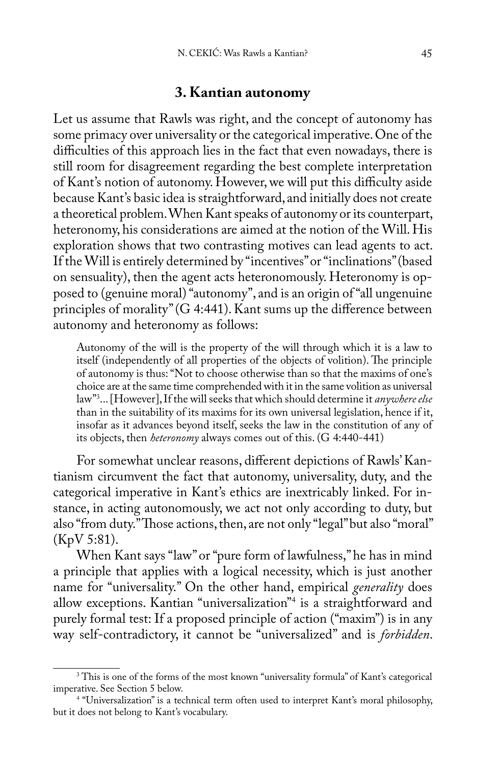### **3. Kantian autonomy**

Let us assume that Rawls was right, and the concept of autonomy has some primacy over universality or the categorical imperative. One of the difficulties of this approach lies in the fact that even nowadays, there is still room for disagreement regarding the best complete interpretation of Kant's notion of autonomy. However, we will put this difficulty aside because Kant's basic idea is straightforward, and initially does not create a theoretical problem. When Kant speaks of autonomy or its counterpart, heteronomy, his considerations are aimed at the notion of the Will. His exploration shows that two contrasting motives can lead agents to act. If the Will is entirely determined by "incentives" or "inclinations" (based on sensuality), then the agent acts heteronomously. Heteronomy is opposed to (genuine moral) "autonomy", and is an origin of "all ungenuine principles of morality" (G 4:441). Kant sums up the difference between autonomy and heteronomy as follows:

Autonomy of the will is the property of the will through which it is a law to itself (independently of all properties of the objects of volition). The principle of autonomy is thus: "Not to choose otherwise than so that the maxims of one's choice are at the same time comprehended with it in the same volition as universal law"3 ... [However], If the will seeks that which should determine it *anywhere else*  than in the suitability of its maxims for its own universal legislation, hence if it, insofar as it advances beyond itself, seeks the law in the constitution of any of its objects, then *heteronomy* always comes out of this. (G 4:440-441)

For somewhat unclear reasons, different depictions of Rawls' Kantianism circumvent the fact that autonomy, universality, duty, and the categorical imperative in Kant's ethics are inextricably linked. For instance, in acting autonomously, we act not only according to duty, but also "from duty." Those actions, then, are not only "legal" but also "moral" (KpV 5:81).

When Kant says "law" or "pure form of lawfulness," he has in mind a principle that applies with a logical necessity, which is just another name for "universality." On the other hand, empirical *generality* does allow exceptions. Kantian "universalization"4 is a straightforward and purely formal test: If a proposed principle of action ("maxim") is in any way self-contradictory, it cannot be "universalized" and is *forbidden*.

<sup>&</sup>lt;sup>3</sup> This is one of the forms of the most known "universality formula" of Kant's categorical imperative. See Section 5 below.

<sup>4</sup> "Universalization" is a technical term often used to interpret Kant's moral philosophy, but it does not belong to Kant's vocabulary.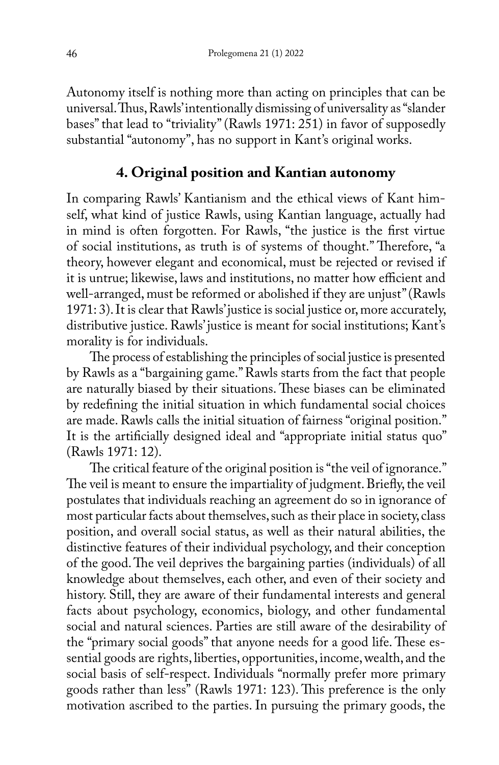Autonomy itself is nothing more than acting on principles that can be universal. Thus, Rawls' intentionally dismissing of universality as "slander bases" that lead to "triviality" (Rawls 1971: 251) in favor of supposedly substantial "autonomy", has no support in Kant's original works.

# **4. Original position and Kantian autonomy**

In comparing Rawls' Kantianism and the ethical views of Kant himself, what kind of justice Rawls, using Kantian language, actually had in mind is often forgotten. For Rawls, "the justice is the first virtue of social institutions, as truth is of systems of thought." Therefore, "a theory, however elegant and economical, must be rejected or revised if it is untrue; likewise, laws and institutions, no matter how efficient and well-arranged, must be reformed or abolished if they are unjust" (Rawls 1971: 3). It is clear that Rawls' justice is social justice or, more accurately, distributive justice. Rawls' justice is meant for social institutions; Kant's morality is for individuals.

The process of establishing the principles of social justice is presented by Rawls as a "bargaining game." Rawls starts from the fact that people are naturally biased by their situations. These biases can be eliminated by redefining the initial situation in which fundamental social choices are made. Rawls calls the initial situation of fairness "original position." It is the artificially designed ideal and "appropriate initial status quo" (Rawls 1971: 12).

The critical feature of the original position is "the veil of ignorance." The veil is meant to ensure the impartiality of judgment. Briefly, the veil postulates that individuals reaching an agreement do so in ignorance of most particular facts about themselves, such as their place in society, class position, and overall social status, as well as their natural abilities, the distinctive features of their individual psychology, and their conception of the good. The veil deprives the bargaining parties (individuals) of all knowledge about themselves, each other, and even of their society and history. Still, they are aware of their fundamental interests and general facts about psychology, economics, biology, and other fundamental social and natural sciences. Parties are still aware of the desirability of the "primary social goods" that anyone needs for a good life. These essential goods are rights, liberties, opportunities, income, wealth, and the social basis of self-respect. Individuals "normally prefer more primary goods rather than less" (Rawls 1971: 123). This preference is the only motivation ascribed to the parties. In pursuing the primary goods, the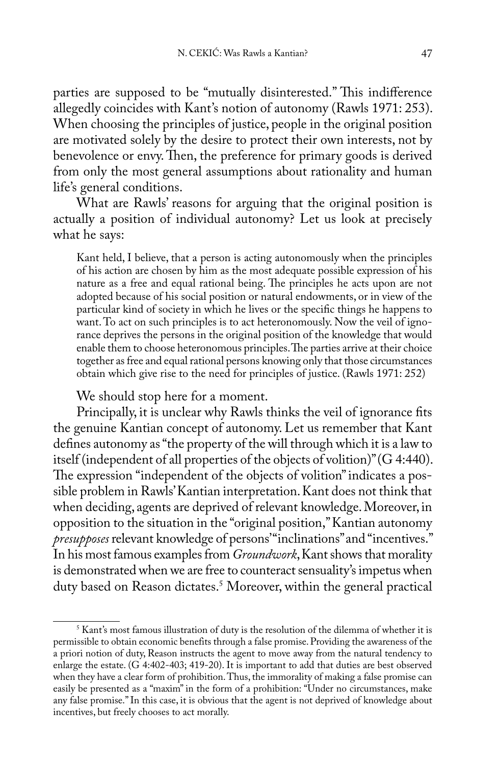parties are supposed to be "mutually disinterested." This indifference allegedly coincides with Kant's notion of autonomy (Rawls 1971: 253). When choosing the principles of justice, people in the original position are motivated solely by the desire to protect their own interests, not by benevolence or envy. Then, the preference for primary goods is derived from only the most general assumptions about rationality and human life's general conditions.

What are Rawls' reasons for arguing that the original position is actually a position of individual autonomy? Let us look at precisely what he says:

Kant held, I believe, that a person is acting autonomously when the principles of his action are chosen by him as the most adequate possible expression of his nature as a free and equal rational being. The principles he acts upon are not adopted because of his social position or natural endowments, or in view of the particular kind of society in which he lives or the specific things he happens to want. To act on such principles is to act heteronomously. Now the veil of ignorance deprives the persons in the original position of the knowledge that would enable them to choose heteronomous principles. The parties arrive at their choice together as free and equal rational persons knowing only that those circumstances obtain which give rise to the need for principles of justice. (Rawls 1971: 252)

We should stop here for a moment.

Principally, it is unclear why Rawls thinks the veil of ignorance fits the genuine Kantian concept of autonomy. Let us remember that Kant defines autonomy as "the property of the will through which it is a law to itself (independent of all properties of the objects of volition)" (G 4:440). The expression "independent of the objects of volition" indicates a possible problem in Rawls' Kantian interpretation. Kant does not think that when deciding, agents are deprived of relevant knowledge. Moreover, in opposition to the situation in the "original position," Kantian autonomy *presupposes* relevant knowledge of persons' "inclinations" and "incentives." In his most famous examples from *Groundwork*, Kant shows that morality is demonstrated when we are free to counteract sensuality's impetus when duty based on Reason dictates.5 Moreover, within the general practical

<sup>&</sup>lt;sup>5</sup> Kant's most famous illustration of duty is the resolution of the dilemma of whether it is permissible to obtain economic benefits through a false promise. Providing the awareness of the a priori notion of duty, Reason instructs the agent to move away from the natural tendency to enlarge the estate. (G 4:402-403; 419-20). It is important to add that duties are best observed when they have a clear form of prohibition. Thus, the immorality of making a false promise can easily be presented as a "maxim" in the form of a prohibition: "Under no circumstances, make any false promise." In this case, it is obvious that the agent is not deprived of knowledge about incentives, but freely chooses to act morally.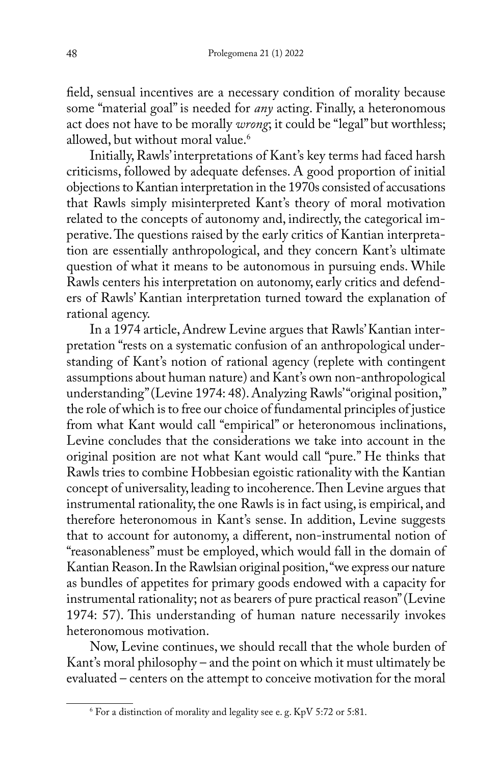field, sensual incentives are a necessary condition of morality because some "material goal" is needed for *any* acting. Finally, a heteronomous act does not have to be morally *wrong*; it could be "legal" but worthless; allowed, but without moral value.<sup>6</sup>

Initially, Rawls' interpretations of Kant's key terms had faced harsh criticisms, followed by adequate defenses. A good proportion of initial objections to Kantian interpretation in the 1970s consisted of accusations that Rawls simply misinterpreted Kant's theory of moral motivation related to the concepts of autonomy and, indirectly, the categorical imperative. The questions raised by the early critics of Kantian interpretation are essentially anthropological, and they concern Kant's ultimate question of what it means to be autonomous in pursuing ends. While Rawls centers his interpretation on autonomy, early critics and defenders of Rawls' Kantian interpretation turned toward the explanation of rational agency.

In a 1974 article, Andrew Levine argues that Rawls' Kantian interpretation "rests on a systematic confusion of an anthropological understanding of Kant's notion of rational agency (replete with contingent assumptions about human nature) and Kant's own non-anthropological understanding" (Levine 1974: 48). Analyzing Rawls' "original position," the role of which is to free our choice of fundamental principles of justice from what Kant would call "empirical" or heteronomous inclinations, Levine concludes that the considerations we take into account in the original position are not what Kant would call "pure." He thinks that Rawls tries to combine Hobbesian egoistic rationality with the Kantian concept of universality, leading to incoherence. Then Levine argues that instrumental rationality, the one Rawls is in fact using, is empirical, and therefore heteronomous in Kant's sense. In addition, Levine suggests that to account for autonomy, a different, non-instrumental notion of "reasonableness" must be employed, which would fall in the domain of Kantian Reason. In the Rawlsian original position, "we express our nature as bundles of appetites for primary goods endowed with a capacity for instrumental rationality; not as bearers of pure practical reason" (Levine 1974: 57). This understanding of human nature necessarily invokes heteronomous motivation.

Now, Levine continues, we should recall that the whole burden of Kant's moral philosophy – and the point on which it must ultimately be evaluated – centers on the attempt to conceive motivation for the moral

 $\rm ^{6}$  For a distinction of morality and legality see e. g. KpV 5:72 or 5:81.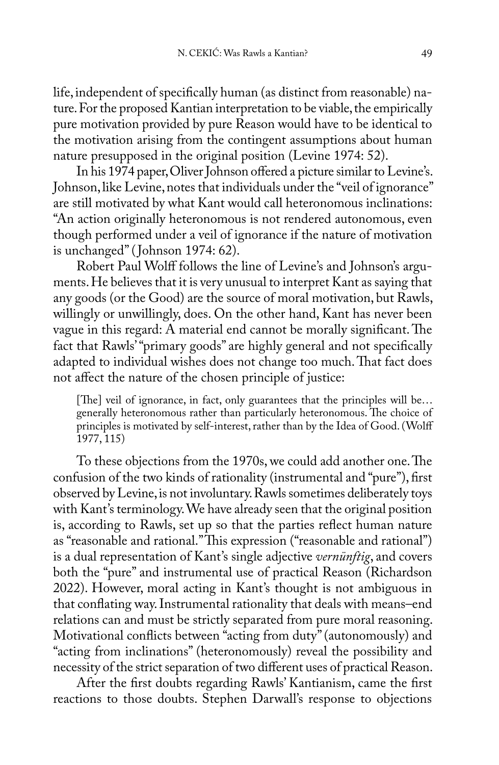life, independent of specifically human (as distinct from reasonable) nature. For the proposed Kantian interpretation to be viable, the empirically pure motivation provided by pure Reason would have to be identical to the motivation arising from the contingent assumptions about human nature presupposed in the original position (Levine 1974: 52).

In his 1974 paper, Oliver Johnson offered a picture similar to Levine's. Johnson, like Levine, notes that individuals under the "veil of ignorance" are still motivated by what Kant would call heteronomous inclinations: "An action originally heteronomous is not rendered autonomous, even though performed under a veil of ignorance if the nature of motivation is unchanged" ( Johnson 1974: 62).

Robert Paul Wolff follows the line of Levine's and Johnson's arguments. He believes that it is very unusual to interpret Kant as saying that any goods (or the Good) are the source of moral motivation, but Rawls, willingly or unwillingly, does. On the other hand, Kant has never been vague in this regard: A material end cannot be morally significant. The fact that Rawls' "primary goods" are highly general and not specifically adapted to individual wishes does not change too much. That fact does not affect the nature of the chosen principle of justice:

[The] veil of ignorance, in fact, only guarantees that the principles will be... generally heteronomous rather than particularly heteronomous. The choice of principles is motivated by self-interest, rather than by the Idea of Good. (Wolff 1977, 115)

To these objections from the 1970s, we could add another one. The confusion of the two kinds of rationality (instrumental and "pure"), first observed by Levine, is not involuntary. Rawls sometimes deliberately toys with Kant's terminology. We have already seen that the original position is, according to Rawls, set up so that the parties reflect human nature as "reasonable and rational." This expression ("reasonable and rational") is a dual representation of Kant's single adjective *vernünftig*, and covers both the "pure" and instrumental use of practical Reason (Richardson 2022). However, moral acting in Kant's thought is not ambiguous in that conflating way. Instrumental rationality that deals with means–end relations can and must be strictly separated from pure moral reasoning. Motivational conflicts between "acting from duty" (autonomously) and "acting from inclinations" (heteronomously) reveal the possibility and necessity of the strict separation of two different uses of practical Reason.

After the first doubts regarding Rawls' Kantianism, came the first reactions to those doubts. Stephen Darwall's response to objections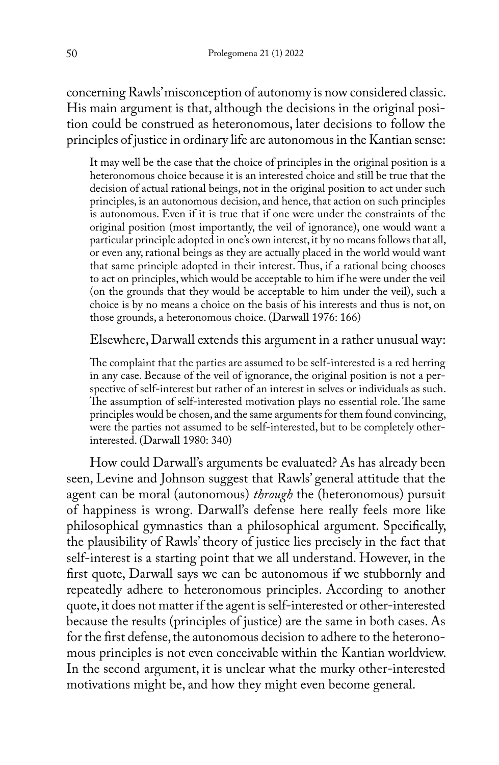concerning Rawls' misconception of autonomy is now considered classic. His main argument is that, although the decisions in the original position could be construed as heteronomous, later decisions to follow the principles of justice in ordinary life are autonomous in the Kantian sense:

It may well be the case that the choice of principles in the original position is a heteronomous choice because it is an interested choice and still be true that the decision of actual rational beings, not in the original position to act under such principles, is an autonomous decision, and hence, that action on such principles is autonomous. Even if it is true that if one were under the constraints of the original position (most importantly, the veil of ignorance), one would want a particular principle adopted in one's own interest, it by no means follows that all, or even any, rational beings as they are actually placed in the world would want that same principle adopted in their interest. Thus, if a rational being chooses to act on principles, which would be acceptable to him if he were under the veil (on the grounds that they would be acceptable to him under the veil), such a choice is by no means a choice on the basis of his interests and thus is not, on those grounds, a heteronomous choice. (Darwall 1976: 166)

#### Elsewhere, Darwall extends this argument in a rather unusual way:

The complaint that the parties are assumed to be self-interested is a red herring in any case. Because of the veil of ignorance, the original position is not a perspective of self-interest but rather of an interest in selves or individuals as such. The assumption of self-interested motivation plays no essential role. The same principles would be chosen, and the same arguments for them found convincing, were the parties not assumed to be self-interested, but to be completely otherinterested. (Darwall 1980: 340)

How could Darwall's arguments be evaluated? As has already been seen, Levine and Johnson suggest that Rawls' general attitude that the agent can be moral (autonomous) *through* the (heteronomous) pursuit of happiness is wrong. Darwall's defense here really feels more like philosophical gymnastics than a philosophical argument. Specifically, the plausibility of Rawls' theory of justice lies precisely in the fact that self-interest is a starting point that we all understand. However, in the first quote, Darwall says we can be autonomous if we stubbornly and repeatedly adhere to heteronomous principles. According to another quote, it does not matter if the agent is self-interested or other-interested because the results (principles of justice) are the same in both cases. As for the first defense, the autonomous decision to adhere to the heteronomous principles is not even conceivable within the Kantian worldview. In the second argument, it is unclear what the murky other-interested motivations might be, and how they might even become general.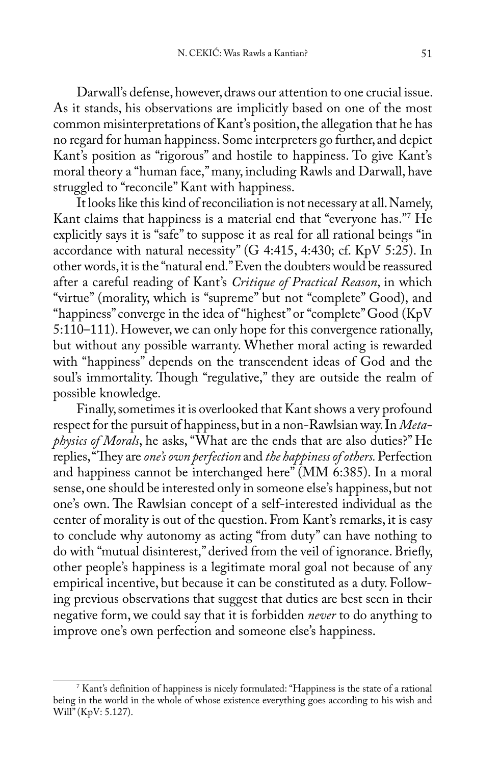Darwall's defense, however, draws our attention to one crucial issue. As it stands, his observations are implicitly based on one of the most common misinterpretations of Kant's position, the allegation that he has no regard for human happiness. Some interpreters go further, and depict Kant's position as "rigorous" and hostile to happiness. To give Kant's moral theory a "human face," many, including Rawls and Darwall, have struggled to "reconcile" Kant with happiness.

It looks like this kind of reconciliation is not necessary at all. Namely, Kant claims that happiness is a material end that "everyone has."7 He explicitly says it is "safe" to suppose it as real for all rational beings "in accordance with natural necessity" (G 4:415, 4:430; cf. KpV 5:25). In other words, it is the "natural end." Even the doubters would be reassured after a careful reading of Kant's *Critique of Practical Reason*, in which "virtue" (morality, which is "supreme" but not "complete" Good), and "happiness" converge in the idea of "highest" or "complete" Good (KpV 5:110–111). However, we can only hope for this convergence rationally, but without any possible warranty. Whether moral acting is rewarded with "happiness" depends on the transcendent ideas of God and the soul's immortality. Though "regulative," they are outside the realm of possible knowledge.

Finally, sometimes it is overlooked that Kant shows a very profound respect for the pursuit of happiness, but in a non-Rawlsian way. In *Metaphysics of Morals*, he asks, "What are the ends that are also duties?" He replies, "They are *one's own perfection* and *the happiness of others.* Perfection and happiness cannot be interchanged here" (MM 6:385). In a moral sense, one should be interested only in someone else's happiness, but not one's own. The Rawlsian concept of a self-interested individual as the center of morality is out of the question. From Kant's remarks, it is easy to conclude why autonomy as acting "from duty" can have nothing to do with "mutual disinterest," derived from the veil of ignorance. Briefly, other people's happiness is a legitimate moral goal not because of any empirical incentive, but because it can be constituted as a duty. Following previous observations that suggest that duties are best seen in their negative form, we could say that it is forbidden *never* to do anything to improve one's own perfection and someone else's happiness.

<sup>7</sup> Kant's definition of happiness is nicely formulated: "Happiness is the state of a rational being in the world in the whole of whose existence everything goes according to his wish and Will" (KpV: 5.127).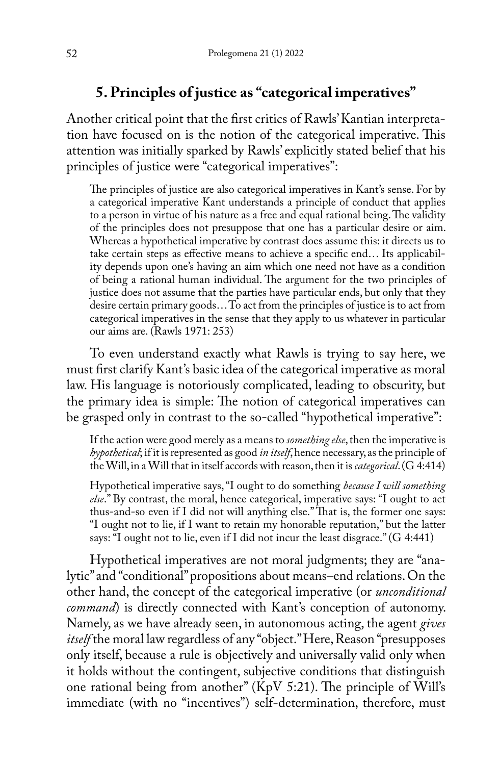# **5. Principles of justice as "categorical imperatives"**

Another critical point that the first critics of Rawls' Kantian interpretation have focused on is the notion of the categorical imperative. This attention was initially sparked by Rawls' explicitly stated belief that his principles of justice were "categorical imperatives":

The principles of justice are also categorical imperatives in Kant's sense. For by a categorical imperative Kant understands a principle of conduct that applies to a person in virtue of his nature as a free and equal rational being. The validity of the principles does not presuppose that one has a particular desire or aim. Whereas a hypothetical imperative by contrast does assume this: it directs us to take certain steps as effective means to achieve a specific end… Its applicability depends upon one's having an aim which one need not have as a condition of being a rational human individual. The argument for the two principles of justice does not assume that the parties have particular ends, but only that they desire certain primary goods… To act from the principles of justice is to act from categorical imperatives in the sense that they apply to us whatever in particular our aims are. (Rawls 1971: 253)

To even understand exactly what Rawls is trying to say here, we must first clarify Kant's basic idea of the categorical imperative as moral law. His language is notoriously complicated, leading to obscurity, but the primary idea is simple: The notion of categorical imperatives can be grasped only in contrast to the so-called "hypothetical imperative":

If the action were good merely as a means to *something else*, then the imperative is *hypothetical*; if it is represented as good *in itself*, hence necessary, as the principle of the Will, in a Will that in itself accords with reason, then it is *categorical*. (G 4:414)

Hypothetical imperative says, "I ought to do something *because I will something else*." By contrast, the moral, hence categorical, imperative says: "I ought to act thus-and-so even if I did not will anything else." That is, the former one says: "I ought not to lie, if I want to retain my honorable reputation," but the latter says: "I ought not to lie, even if I did not incur the least disgrace." (G 4:441)

Hypothetical imperatives are not moral judgments; they are "analytic" and "conditional" propositions about means–end relations. On the other hand, the concept of the categorical imperative (or *unconditional command*) is directly connected with Kant's conception of autonomy. Namely, as we have already seen, in autonomous acting, the agent *gives itself* the moral law regardless of any "object." Here, Reason "presupposes only itself, because a rule is objectively and universally valid only when it holds without the contingent, subjective conditions that distinguish one rational being from another" (KpV 5:21). The principle of Will's immediate (with no "incentives") self-determination, therefore, must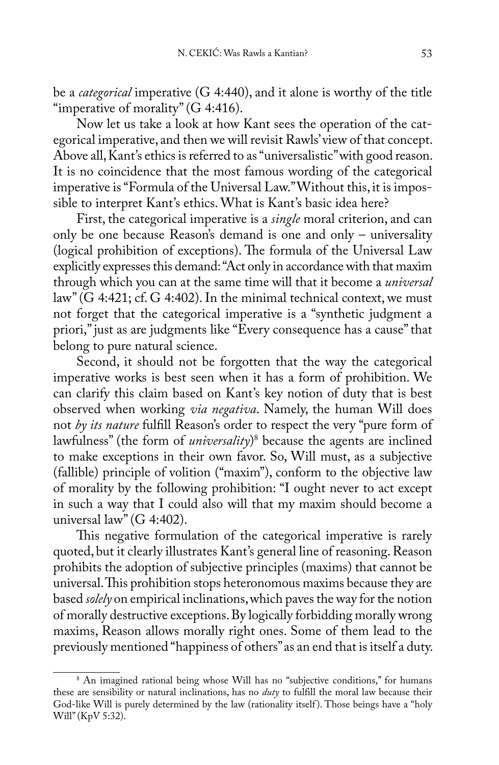be a *categorical* imperative (G 4:440), and it alone is worthy of the title "imperative of morality" (G 4:416).

Now let us take a look at how Kant sees the operation of the categorical imperative, and then we will revisit Rawls' view of that concept. Above all, Kant's ethics is referred to as "universalistic" with good reason. It is no coincidence that the most famous wording of the categorical imperative is "Formula of the Universal Law." Without this, it is impossible to interpret Kant's ethics. What is Kant's basic idea here?

First, the categorical imperative is a *single* moral criterion, and can only be one because Reason's demand is one and only – universality (logical prohibition of exceptions). The formula of the Universal Law explicitly expresses this demand: "Act only in accordance with that maxim through which you can at the same time will that it become a *universal* law" (G 4:421; cf. G 4:402). In the minimal technical context, we must not forget that the categorical imperative is a "synthetic judgment a priori," just as are judgments like "Every consequence has a cause" that belong to pure natural science.

Second, it should not be forgotten that the way the categorical imperative works is best seen when it has a form of prohibition. We can clarify this claim based on Kant's key notion of duty that is best observed when working *via negativa*. Namely, the human Will does not *by its nature* fulfill Reason's order to respect the very "pure form of lawfulness" (the form of *universality*) 8 because the agents are inclined to make exceptions in their own favor. So, Will must, as a subjective (fallible) principle of volition ("maxim"), conform to the objective law of morality by the following prohibition: "I ought never to act except in such a way that I could also will that my maxim should become a universal law" (G 4:402).

This negative formulation of the categorical imperative is rarely quoted, but it clearly illustrates Kant's general line of reasoning. Reason prohibits the adoption of subjective principles (maxims) that cannot be universal. This prohibition stops heteronomous maxims because they are based *solely* on empirical inclinations, which paves the way for the notion of morally destructive exceptions. By logically forbidding morally wrong maxims, Reason allows morally right ones. Some of them lead to the previously mentioned "happiness of others" as an end that is itself a duty.

<sup>8</sup> An imagined rational being whose Will has no "subjective conditions," for humans these are sensibility or natural inclinations, has no *duty* to fulfill the moral law because their God-like Will is purely determined by the law (rationality itself ). Those beings have a "holy Will" (KpV 5:32).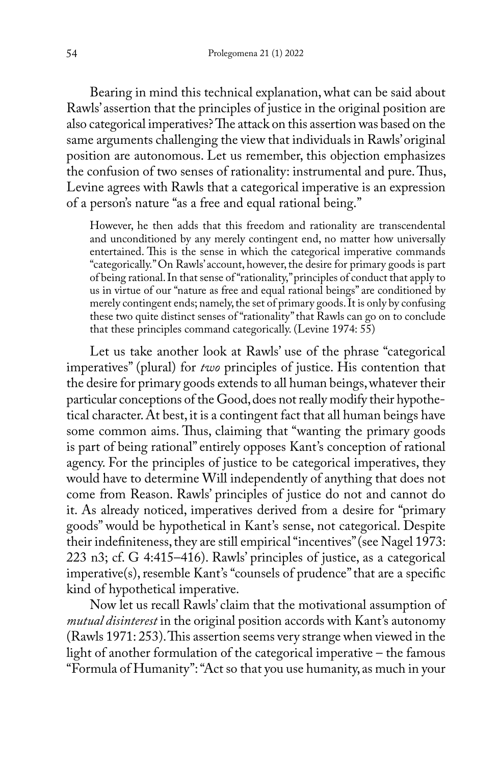Bearing in mind this technical explanation, what can be said about Rawls' assertion that the principles of justice in the original position are also categorical imperatives? The attack on this assertion was based on the same arguments challenging the view that individuals in Rawls' original position are autonomous. Let us remember, this objection emphasizes the confusion of two senses of rationality: instrumental and pure. Thus, Levine agrees with Rawls that a categorical imperative is an expression of a person's nature "as a free and equal rational being."

However, he then adds that this freedom and rationality are transcendental and unconditioned by any merely contingent end, no matter how universally entertained. This is the sense in which the categorical imperative commands "categorically." On Rawls' account, however, the desire for primary goods is part of being rational. In that sense of "rationality," principles of conduct that apply to us in virtue of our "nature as free and equal rational beings" are conditioned by merely contingent ends; namely, the set of primary goods. It is only by confusing these two quite distinct senses of "rationality" that Rawls can go on to conclude that these principles command categorically. (Levine 1974: 55)

Let us take another look at Rawls' use of the phrase "categorical imperatives" (plural) for *two* principles of justice. His contention that the desire for primary goods extends to all human beings, whatever their particular conceptions of the Good, does not really modify their hypothetical character. At best, it is a contingent fact that all human beings have some common aims. Thus, claiming that "wanting the primary goods is part of being rational" entirely opposes Kant's conception of rational agency. For the principles of justice to be categorical imperatives, they would have to determine Will independently of anything that does not come from Reason. Rawls' principles of justice do not and cannot do it. As already noticed, imperatives derived from a desire for "primary goods" would be hypothetical in Kant's sense, not categorical. Despite their indefiniteness, they are still empirical "incentives" (see Nagel 1973: 223 n3; cf. G 4:415–416). Rawls' principles of justice, as a categorical imperative(s), resemble Kant's "counsels of prudence" that are a specific kind of hypothetical imperative.

Now let us recall Rawls' claim that the motivational assumption of *mutual disinterest* in the original position accords with Kant's autonomy (Rawls 1971: 253). This assertion seems very strange when viewed in the light of another formulation of the categorical imperative – the famous "Formula of Humanity": "Act so that you use humanity, as much in your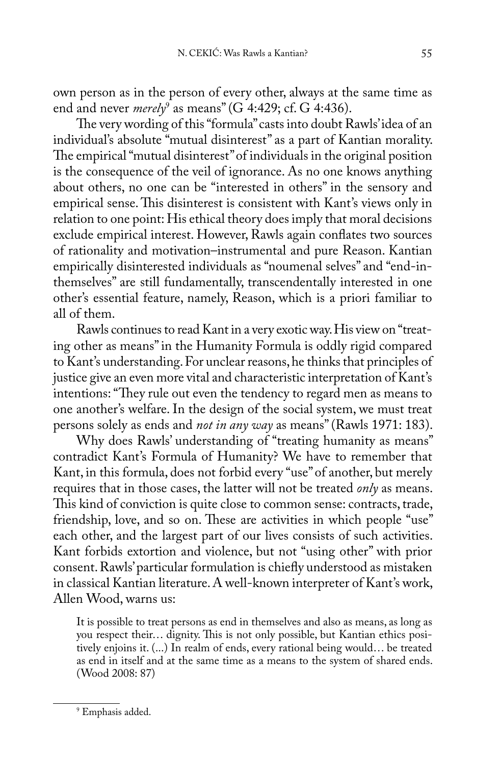own person as in the person of every other, always at the same time as end and never *merely*<sup>9</sup> as means" (G 4:429; cf. G 4:436).

The very wording of this "formula" casts into doubt Rawls' idea of an individual's absolute "mutual disinterest" as a part of Kantian morality. The empirical "mutual disinterest" of individuals in the original position is the consequence of the veil of ignorance. As no one knows anything about others, no one can be "interested in others" in the sensory and empirical sense. This disinterest is consistent with Kant's views only in relation to one point: His ethical theory does imply that moral decisions exclude empirical interest. However, Rawls again conflates two sources of rationality and motivation–instrumental and pure Reason. Kantian empirically disinterested individuals as "noumenal selves" and "end-inthemselves" are still fundamentally, transcendentally interested in one other's essential feature, namely, Reason, which is a priori familiar to all of them.

Rawls continues to read Kant in a very exotic way. His view on "treating other as means" in the Humanity Formula is oddly rigid compared to Kant's understanding. For unclear reasons, he thinks that principles of justice give an even more vital and characteristic interpretation of Kant's intentions: "They rule out even the tendency to regard men as means to one another's welfare. In the design of the social system, we must treat persons solely as ends and *not in any way* as means" (Rawls 1971: 183).

Why does Rawls' understanding of "treating humanity as means" contradict Kant's Formula of Humanity? We have to remember that Kant, in this formula, does not forbid every "use" of another, but merely requires that in those cases, the latter will not be treated *only* as means. This kind of conviction is quite close to common sense: contracts, trade, friendship, love, and so on. These are activities in which people "use" each other, and the largest part of our lives consists of such activities. Kant forbids extortion and violence, but not "using other" with prior consent. Rawls' particular formulation is chiefly understood as mistaken in classical Kantian literature. A well-known interpreter of Kant's work, Allen Wood, warns us:

It is possible to treat persons as end in themselves and also as means, as long as you respect their… dignity. This is not only possible, but Kantian ethics positively enjoins it. (...) In realm of ends, every rational being would… be treated as end in itself and at the same time as a means to the system of shared ends. (Wood 2008: 87)

<sup>9</sup> Emphasis added.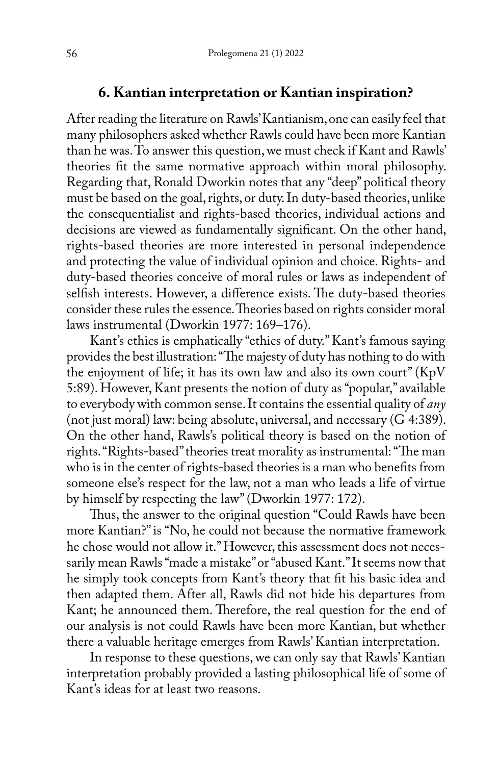### **6. Kantian interpretation or Kantian inspiration?**

After reading the literature on Rawls' Kantianism, one can easily feel that many philosophers asked whether Rawls could have been more Kantian than he was. To answer this question, we must check if Kant and Rawls' theories fit the same normative approach within moral philosophy. Regarding that, Ronald Dworkin notes that any "deep" political theory must be based on the goal, rights, or duty. In duty-based theories, unlike the consequentialist and rights-based theories, individual actions and decisions are viewed as fundamentally significant. On the other hand, rights-based theories are more interested in personal independence and protecting the value of individual opinion and choice. Rights- and duty-based theories conceive of moral rules or laws as independent of selfish interests. However, a difference exists. The duty-based theories consider these rules the essence. Theories based on rights consider moral laws instrumental (Dworkin 1977: 169–176).

Kant's ethics is emphatically "ethics of duty." Kant's famous saying provides the best illustration: "The majesty of duty has nothing to do with the enjoyment of life; it has its own law and also its own court" (KpV 5:89). However, Kant presents the notion of duty as "popular," available to everybody with common sense. It contains the essential quality of *any* (not just moral) law: being absolute, universal, and necessary (G 4:389). On the other hand, Rawls's political theory is based on the notion of rights. "Rights-based" theories treat morality as instrumental: "The man who is in the center of rights-based theories is a man who benefits from someone else's respect for the law, not a man who leads a life of virtue by himself by respecting the law" (Dworkin 1977: 172).

Thus, the answer to the original question "Could Rawls have been more Kantian?" is "No, he could not because the normative framework he chose would not allow it." However, this assessment does not necessarily mean Rawls "made a mistake" or "abused Kant." It seems now that he simply took concepts from Kant's theory that fit his basic idea and then adapted them. After all, Rawls did not hide his departures from Kant; he announced them. Therefore, the real question for the end of our analysis is not could Rawls have been more Kantian, but whether there a valuable heritage emerges from Rawls' Kantian interpretation.

In response to these questions, we can only say that Rawls' Kantian interpretation probably provided a lasting philosophical life of some of Kant's ideas for at least two reasons.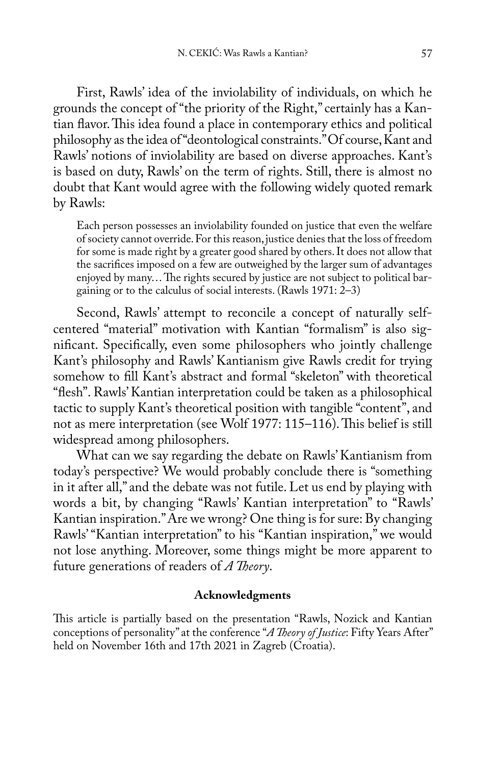First, Rawls' idea of the inviolability of individuals, on which he grounds the concept of "the priority of the Right," certainly has a Kantian flavor. This idea found a place in contemporary ethics and political philosophy as the idea of "deontological constraints." Of course, Kant and Rawls' notions of inviolability are based on diverse approaches. Kant's is based on duty, Rawls' on the term of rights. Still, there is almost no doubt that Kant would agree with the following widely quoted remark by Rawls:

Each person possesses an inviolability founded on justice that even the welfare of society cannot override. For this reason, justice denies that the loss of freedom for some is made right by a greater good shared by others. It does not allow that the sacrifices imposed on a few are outweighed by the larger sum of advantages enjoyed by many… The rights secured by justice are not subject to political bargaining or to the calculus of social interests. (Rawls 1971: 2–3)

Second, Rawls' attempt to reconcile a concept of naturally selfcentered "material" motivation with Kantian "formalism" is also significant. Specifically, even some philosophers who jointly challenge Kant's philosophy and Rawls' Kantianism give Rawls credit for trying somehow to fill Kant's abstract and formal "skeleton" with theoretical "flesh". Rawls' Kantian interpretation could be taken as a philosophical tactic to supply Kant's theoretical position with tangible "content", and not as mere interpretation (see Wolf 1977: 115–116). This belief is still widespread among philosophers.

What can we say regarding the debate on Rawls' Kantianism from today's perspective? We would probably conclude there is "something in it after all," and the debate was not futile. Let us end by playing with words a bit, by changing "Rawls' Kantian interpretation" to "Rawls' Kantian inspiration." Are we wrong? One thing is for sure: By changing Rawls' "Kantian interpretation" to his "Kantian inspiration," we would not lose anything. Moreover, some things might be more apparent to future generations of readers of *A Theory*.

#### **Acknowledgments**

This article is partially based on the presentation "Rawls, Nozick and Kantian conceptions of personality" at the conference "*A Theory of Justice*: Fifty Years After" held on November 16th and 17th 2021 in Zagreb (Croatia).